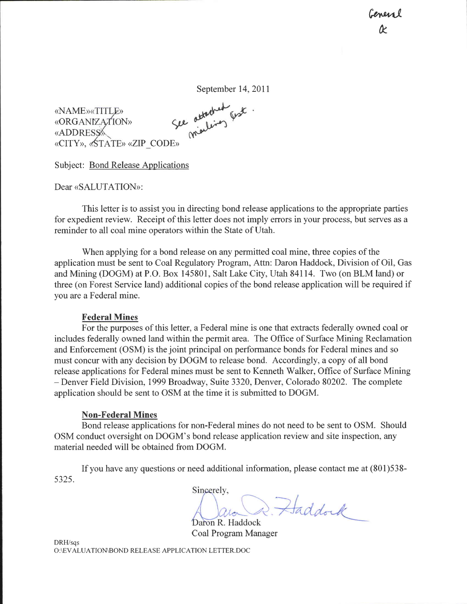Genevic R

«NAME»«TITLE» «ORGANIZATION» **«ADDRESS** «CITY», «STATE» «ZIP\_CODE» September 14, 2011<br>See otterhed fest<br>malines

Subject: Bond Release Applications

Dear «SALUTATION»:

This letter is to assist you in directing bond release applications to the appropriate parties for expedient review. Receipt of this letter does not imply errors in your process, but serves as a reminder to all coal mine operators within the State of Utah.

When applying for a bond release on any permitted coal mine, three copies of the application must be sent to Coal Regulatory Program, Attn: Daron Haddock, Division of Oil, Gas and Mining (DOGM) at P.O. Box 145801, Salt Lake City, Utah 84114. Two (on BLM land) or three (on Forest Service land) additional copies of the bond release application will be required if you are a Federal mine.

## Federal Mines

For the purposes of this letter, a Federal mine is one that extracts federally owned coal or includes federally owned land within the permit area. The Office of Surface Mining Reclamation and Enforcement (OSM) is the joint principal on perfonnance bonds for Federal mines and so must concur with any decision by DOGM to release bond. Accordingly, a copy of all bond release applications for Federal mines must be sent to Kenneth Walker, Office of Surface Mining - Denver Field Division,1999 Broadway, Suite 3320, Denver, Colorado 80202. The complete application should be sent to OSM at the time it is submitted to DOGM.

## Non-Federal Mines

Bond release applications for non-Federal mines do not need to be sent to OSM. Should OSM conduct oversight on DOGM's bond release application review and site inspection, any material needed will be obtained from DOGM.

If you have any questions or need additional information, please contact me at (801)538- 5325.

Sincerely, D. Haddock Lon

Daron R. Haddock Coal Program Manager

DRH/sqs O :\EVALUATIOMBOND RELEASE APPLICATION LETTER. DOC